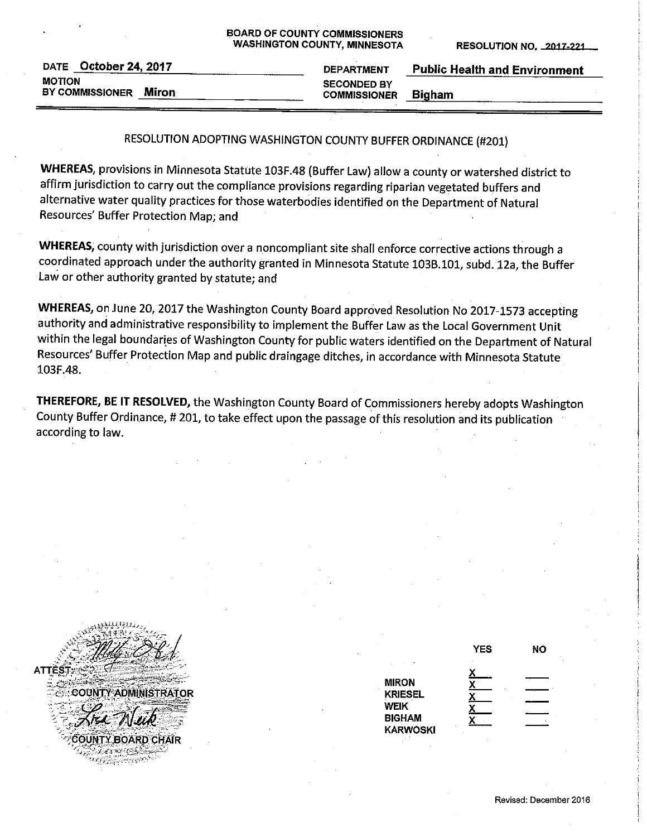| <b>BOARD OF COUNTY COMMISSIONERS</b> |
|--------------------------------------|
| <b>WASHINGTON COUNTY, MINNESOTA</b>  |

**RESOLUTION NO. 2017-221** 

|               | DATE October 24, 2017  |       |
|---------------|------------------------|-------|
| <b>MOTION</b> |                        |       |
|               | <b>BY COMMISSIONER</b> | Miron |

| <b>DEPARTMENT</b>   | <b>Public Health and Environment</b> |
|---------------------|--------------------------------------|
| <b>SECONDED BY</b>  |                                      |
| <b>COMMISSIONER</b> | <b>Bigham</b>                        |

## RESOLUTION ADOPTING WASHINGTON COUNTY BUFFER ORDINANCE (#201)

WHEREAS, provisions in Minnesota Statute 103F.48 (Buffer Law) allow a county or watershed district to affirm jurisdiction to carry out the compliance provisions regarding riparian vegetated buffers and alternative water quality practices for those waterbodies identified on the Department of Natural Resources' Buffer Protection Map; and

WHEREAS, county with jurisdiction over a noncompliant site shall enforce corrective actions through a coordinated approach under the authority granted in Minnesota Statute 103B.101, subd. 12a, the Buffer Law or other authority granted by statute; and

WHEREAS, on June 20, 2017 the Washington County Board approved Resolution No 2017-1573 accepting authority and administrative responsibility to implement the Buffer Law as the Local Government Unit within the legal boundaries of Washington County for public waters identified on the Department of Natural Resources' Buffer Protection Map and public draingage ditches, in accordance with Minnesota Statute 103F.48.

THEREFORE, BE IT RESOLVED, the Washington County Board of Commissioners hereby adopts Washington County Buffer Ordinance, # 201, to take effect upon the passage of this resolution and its publication according to law.

**COUNTY ADMINISTRATOR** COUNTY BOARD CHAIR √्व अञ्चल संस्कृ **Egyptick Kro** 

|                                                                                   | <b>YES</b> | NΟ |
|-----------------------------------------------------------------------------------|------------|----|
| <b>MIRON</b><br><b>KRIESEL</b><br><b>WEIK</b><br><b>BIGHAM</b><br><b>KARWOSKI</b> | Χ          |    |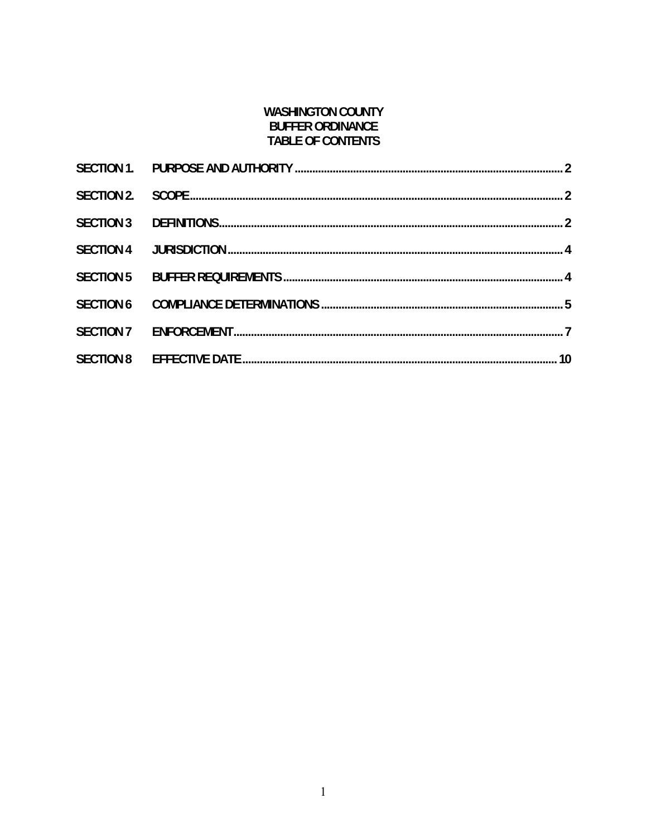## **WASHINGTON COUNTY BUFFER ORDINANCE TABLE OF CONTENTS**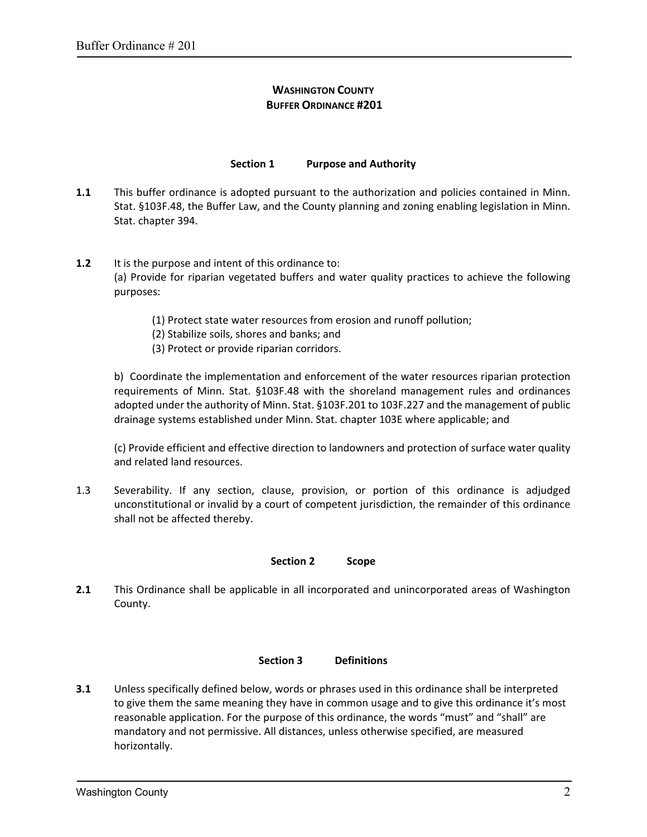# **WASHINGTON COUNTY BUFFER ORDINANCE #201**

### **Section 1 Purpose and Authority**

- **1.1**  This buffer ordinance is adopted pursuant to the authorization and policies contained in Minn. Stat. §103F.48, the Buffer Law, and the County planning and zoning enabling legislation in Minn. Stat. chapter 394.
- **1.2**  It is the purpose and intent of this ordinance to: (a) Provide for riparian vegetated buffers and water quality practices to achieve the following purposes:
	- (1) Protect state water resources from erosion and runoff pollution;
	- (2) Stabilize soils, shores and banks; and
	- (3) Protect or provide riparian corridors.

b) Coordinate the implementation and enforcement of the water resources riparian protection requirements of Minn. Stat. §103F.48 with the shoreland management rules and ordinances adopted under the authority of Minn. Stat. §103F.201 to 103F.227 and the management of public drainage systems established under Minn. Stat. chapter 103E where applicable; and

(c) Provide efficient and effective direction to landowners and protection of surface water quality and related land resources.

1.3 Severability. If any section, clause, provision, or portion of this ordinance is adjudged unconstitutional or invalid by a court of competent jurisdiction, the remainder of this ordinance shall not be affected thereby.

### **Section 2 Scope**

**2.1**  This Ordinance shall be applicable in all incorporated and unincorporated areas of Washington County.

### **Section 3 Definitions**

**3.1** Unless specifically defined below, words or phrases used in this ordinance shall be interpreted to give them the same meaning they have in common usage and to give this ordinance it's most reasonable application. For the purpose of this ordinance, the words "must" and "shall" are mandatory and not permissive. All distances, unless otherwise specified, are measured horizontally.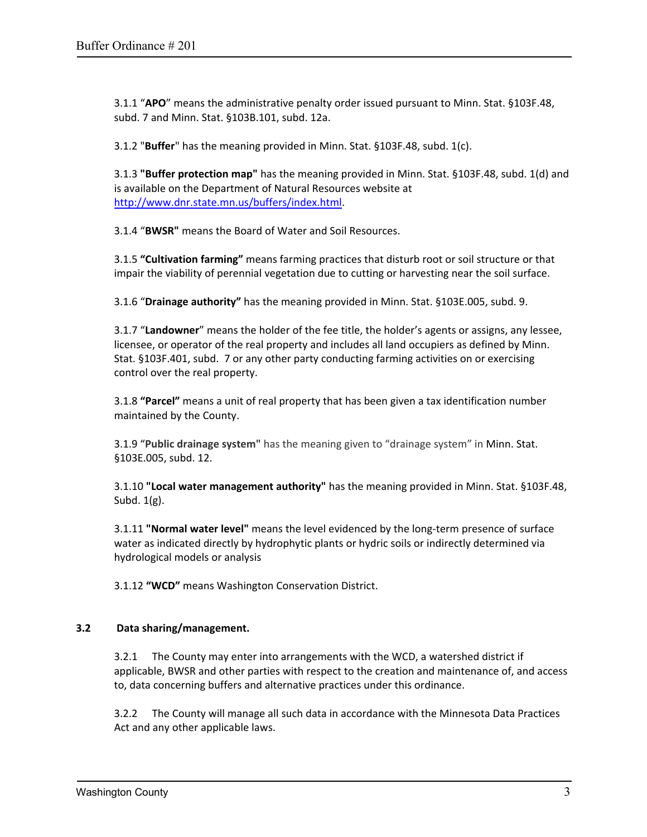3.1.1 "**APO**" means the administrative penalty order issued pursuant to Minn. Stat. §103F.48, subd. 7 and Minn. Stat. §103B.101, subd. 12a.

3.1.2 "**Buffer**" has the meaning provided in Minn. Stat. §103F.48, subd. 1(c).

3.1.3 **"Buffer protection map"** has the meaning provided in Minn. Stat. §103F.48, subd. 1(d) and is available on the Department of Natural Resources website at http://www.dnr.state.mn.us/buffers/index.html.

3.1.4 "**BWSR"** means the Board of Water and Soil Resources.

3.1.5 **"Cultivation farming"** means farming practices that disturb root or soil structure or that impair the viability of perennial vegetation due to cutting or harvesting near the soil surface.

3.1.6 "**Drainage authority"** has the meaning provided in Minn. Stat. §103E.005, subd. 9.

3.1.7 "**Landowner**" means the holder of the fee title, the holder's agents or assigns, any lessee, licensee, or operator of the real property and includes all land occupiers as defined by Minn. Stat. §103F.401, subd. 7 or any other party conducting farming activities on or exercising control over the real property.

3.1.8 **"Parcel"** means a unit of real property that has been given a tax identification number maintained by the County.

3.1.9 "**Public drainage system"** has the meaning given to "drainage system" in Minn. Stat. §103E.005, subd. 12.

3.1.10 **"Local water management authority"** has the meaning provided in Minn. Stat. §103F.48, Subd.  $1(g)$ .

3.1.11 **"Normal water level"** means the level evidenced by the long‐term presence of surface water as indicated directly by hydrophytic plants or hydric soils or indirectly determined via hydrological models or analysis

3.1.12 **"WCD"** means Washington Conservation District.

### **3.2 Data sharing/management.**

3.2.1 The County may enter into arrangements with the WCD, a watershed district if applicable, BWSR and other parties with respect to the creation and maintenance of, and access to, data concerning buffers and alternative practices under this ordinance.

3.2.2 The County will manage all such data in accordance with the Minnesota Data Practices Act and any other applicable laws.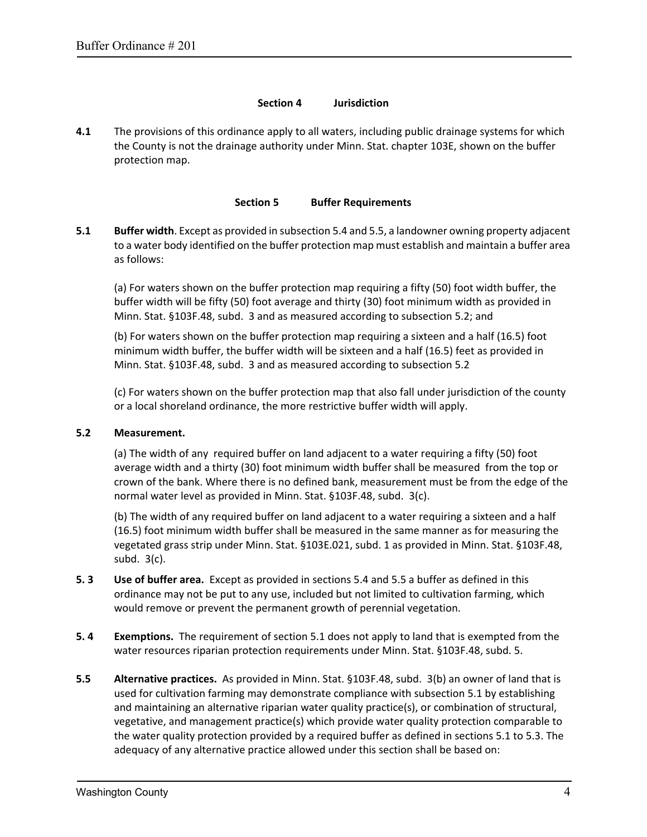#### **Section 4 Jurisdiction**

**4.1** The provisions of this ordinance apply to all waters, including public drainage systems for which the County is not the drainage authority under Minn. Stat. chapter 103E, shown on the buffer protection map.

### **Section 5 Buffer Requirements**

**5.1 Buffer width**. Except as provided in subsection 5.4 and 5.5, a landowner owning property adjacent to a water body identified on the buffer protection map must establish and maintain a buffer area as follows:

(a) For waters shown on the buffer protection map requiring a fifty (50) foot width buffer, the buffer width will be fifty (50) foot average and thirty (30) foot minimum width as provided in Minn. Stat. §103F.48, subd. 3 and as measured according to subsection 5.2; and

(b) For waters shown on the buffer protection map requiring a sixteen and a half (16.5) foot minimum width buffer, the buffer width will be sixteen and a half (16.5) feet as provided in Minn. Stat. §103F.48, subd. 3 and as measured according to subsection 5.2

(c) For waters shown on the buffer protection map that also fall under jurisdiction of the county or a local shoreland ordinance, the more restrictive buffer width will apply.

### **5.2 Measurement.**

(a) The width of any required buffer on land adjacent to a water requiring a fifty (50) foot average width and a thirty (30) foot minimum width buffer shall be measured from the top or crown of the bank. Where there is no defined bank, measurement must be from the edge of the normal water level as provided in Minn. Stat. §103F.48, subd. 3(c).

(b) The width of any required buffer on land adjacent to a water requiring a sixteen and a half (16.5) foot minimum width buffer shall be measured in the same manner as for measuring the vegetated grass strip under Minn. Stat. §103E.021, subd. 1 as provided in Minn. Stat. §103F.48, subd. 3(c).

- **5. 3 Use of buffer area.** Except as provided in sections 5.4 and 5.5 a buffer as defined in this ordinance may not be put to any use, included but not limited to cultivation farming, which would remove or prevent the permanent growth of perennial vegetation.
- **5. 4 Exemptions.** The requirement of section 5.1 does not apply to land that is exempted from the water resources riparian protection requirements under Minn. Stat. §103F.48, subd. 5.
- **5.5 Alternative practices.** As provided in Minn. Stat. §103F.48, subd. 3(b) an owner of land that is used for cultivation farming may demonstrate compliance with subsection 5.1 by establishing and maintaining an alternative riparian water quality practice(s), or combination of structural, vegetative, and management practice(s) which provide water quality protection comparable to the water quality protection provided by a required buffer as defined in sections 5.1 to 5.3. The adequacy of any alternative practice allowed under this section shall be based on: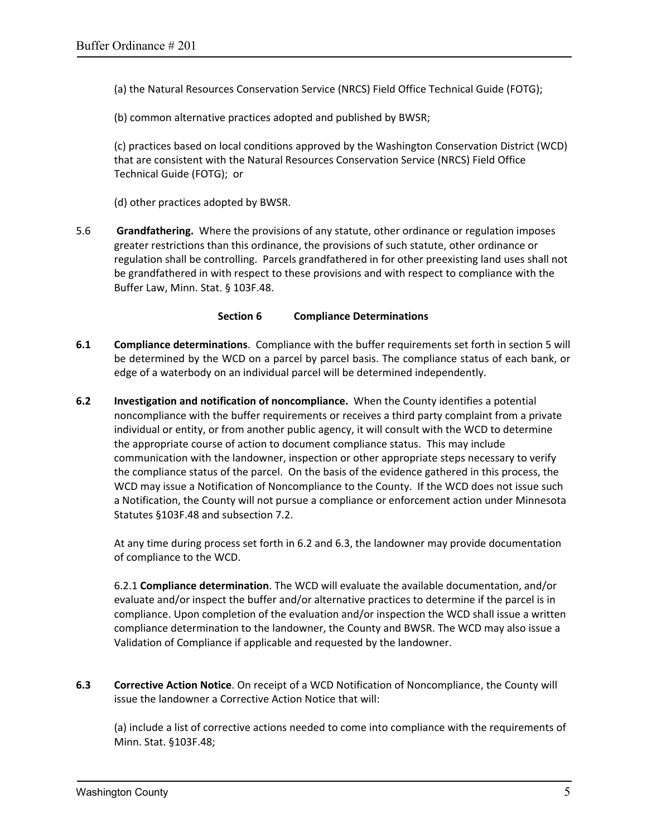(a) the Natural Resources Conservation Service (NRCS) Field Office Technical Guide (FOTG);

(b) common alternative practices adopted and published by BWSR;

(c) practices based on local conditions approved by the Washington Conservation District (WCD) that are consistent with the Natural Resources Conservation Service (NRCS) Field Office Technical Guide (FOTG); or

(d) other practices adopted by BWSR.

5.6 **Grandfathering.** Where the provisions of any statute, other ordinance or regulation imposes greater restrictions than this ordinance, the provisions of such statute, other ordinance or regulation shall be controlling. Parcels grandfathered in for other preexisting land uses shall not be grandfathered in with respect to these provisions and with respect to compliance with the Buffer Law, Minn. Stat. § 103F.48.

### **Section 6 Compliance Determinations**

- **6.1 Compliance determinations**. Compliance with the buffer requirements set forth in section 5 will be determined by the WCD on a parcel by parcel basis. The compliance status of each bank, or edge of a waterbody on an individual parcel will be determined independently.
- **6.2 Investigation and notification of noncompliance.** When the County identifies a potential noncompliance with the buffer requirements or receives a third party complaint from a private individual or entity, or from another public agency, it will consult with the WCD to determine the appropriate course of action to document compliance status. This may include communication with the landowner, inspection or other appropriate steps necessary to verify the compliance status of the parcel. On the basis of the evidence gathered in this process, the WCD may issue a Notification of Noncompliance to the County. If the WCD does not issue such a Notification, the County will not pursue a compliance or enforcement action under Minnesota Statutes §103F.48 and subsection 7.2.

At any time during process set forth in 6.2 and 6.3, the landowner may provide documentation of compliance to the WCD.

6.2.1 **Compliance determination**. The WCD will evaluate the available documentation, and/or evaluate and/or inspect the buffer and/or alternative practices to determine if the parcel is in compliance. Upon completion of the evaluation and/or inspection the WCD shall issue a written compliance determination to the landowner, the County and BWSR. The WCD may also issue a Validation of Compliance if applicable and requested by the landowner.

**6.3 Corrective Action Notice**. On receipt of a WCD Notification of Noncompliance, the County will issue the landowner a Corrective Action Notice that will:

(a) include a list of corrective actions needed to come into compliance with the requirements of Minn. Stat. §103F.48;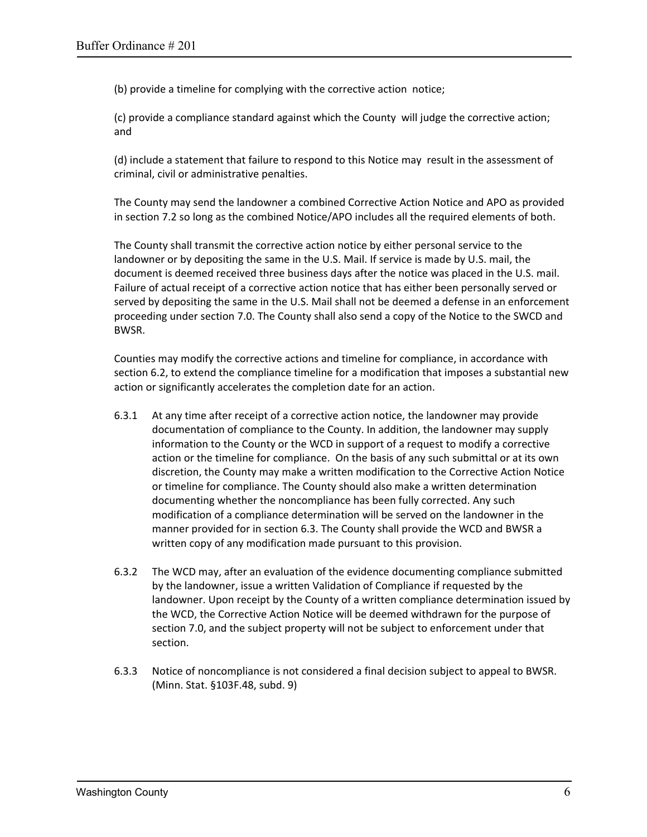(b) provide a timeline for complying with the corrective action notice;

(c) provide a compliance standard against which the County will judge the corrective action; and

(d) include a statement that failure to respond to this Notice may result in the assessment of criminal, civil or administrative penalties.

The County may send the landowner a combined Corrective Action Notice and APO as provided in section 7.2 so long as the combined Notice/APO includes all the required elements of both.

The County shall transmit the corrective action notice by either personal service to the landowner or by depositing the same in the U.S. Mail. If service is made by U.S. mail, the document is deemed received three business days after the notice was placed in the U.S. mail. Failure of actual receipt of a corrective action notice that has either been personally served or served by depositing the same in the U.S. Mail shall not be deemed a defense in an enforcement proceeding under section 7.0. The County shall also send a copy of the Notice to the SWCD and BWSR.

Counties may modify the corrective actions and timeline for compliance, in accordance with section 6.2, to extend the compliance timeline for a modification that imposes a substantial new action or significantly accelerates the completion date for an action.

- 6.3.1 At any time after receipt of a corrective action notice, the landowner may provide documentation of compliance to the County. In addition, the landowner may supply information to the County or the WCD in support of a request to modify a corrective action or the timeline for compliance. On the basis of any such submittal or at its own discretion, the County may make a written modification to the Corrective Action Notice or timeline for compliance. The County should also make a written determination documenting whether the noncompliance has been fully corrected. Any such modification of a compliance determination will be served on the landowner in the manner provided for in section 6.3. The County shall provide the WCD and BWSR a written copy of any modification made pursuant to this provision.
- 6.3.2 The WCD may, after an evaluation of the evidence documenting compliance submitted by the landowner, issue a written Validation of Compliance if requested by the landowner. Upon receipt by the County of a written compliance determination issued by the WCD, the Corrective Action Notice will be deemed withdrawn for the purpose of section 7.0, and the subject property will not be subject to enforcement under that section.
- 6.3.3 Notice of noncompliance is not considered a final decision subject to appeal to BWSR. (Minn. Stat. §103F.48, subd. 9)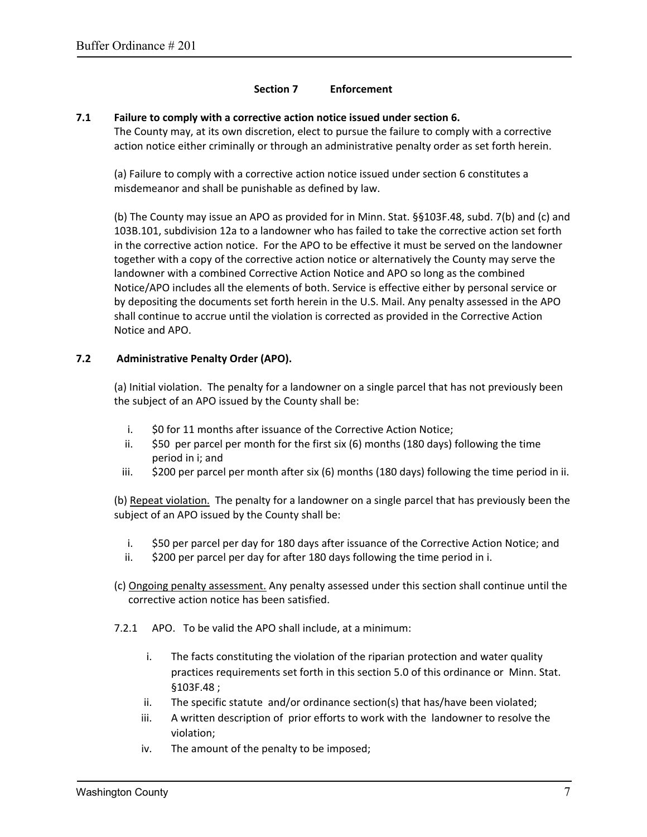### **Section 7 Enforcement**

#### **7.1 Failure to comply with a corrective action notice issued under section 6.**

The County may, at its own discretion, elect to pursue the failure to comply with a corrective action notice either criminally or through an administrative penalty order as set forth herein.

(a) Failure to comply with a corrective action notice issued under section 6 constitutes a misdemeanor and shall be punishable as defined by law.

(b) The County may issue an APO as provided for in Minn. Stat. §§103F.48, subd. 7(b) and (c) and 103B.101, subdivision 12a to a landowner who has failed to take the corrective action set forth in the corrective action notice. For the APO to be effective it must be served on the landowner together with a copy of the corrective action notice or alternatively the County may serve the landowner with a combined Corrective Action Notice and APO so long as the combined Notice/APO includes all the elements of both. Service is effective either by personal service or by depositing the documents set forth herein in the U.S. Mail. Any penalty assessed in the APO shall continue to accrue until the violation is corrected as provided in the Corrective Action Notice and APO.

### **7.2 Administrative Penalty Order (APO).**

(a) Initial violation. The penalty for a landowner on a single parcel that has not previously been the subject of an APO issued by the County shall be:

- i. \$0 for 11 months after issuance of the Corrective Action Notice;
- ii. \$50 per parcel per month for the first six (6) months (180 days) following the time period in i; and
- iii. \$200 per parcel per month after six (6) months (180 days) following the time period in ii.

(b) Repeat violation. The penalty for a landowner on a single parcel that has previously been the subject of an APO issued by the County shall be:

- i. \$50 per parcel per day for 180 days after issuance of the Corrective Action Notice; and
- ii. \$200 per parcel per day for after 180 days following the time period in i.
- (c) Ongoing penalty assessment. Any penalty assessed under this section shall continue until the corrective action notice has been satisfied.
- 7.2.1 APO. To be valid the APO shall include, at a minimum:
	- i. The facts constituting the violation of the riparian protection and water quality practices requirements set forth in this section 5.0 of this ordinance or Minn. Stat. §103F.48 ;
	- ii. The specific statute and/or ordinance section(s) that has/have been violated;
	- iii. A written description of prior efforts to work with the landowner to resolve the violation;
	- iv. The amount of the penalty to be imposed;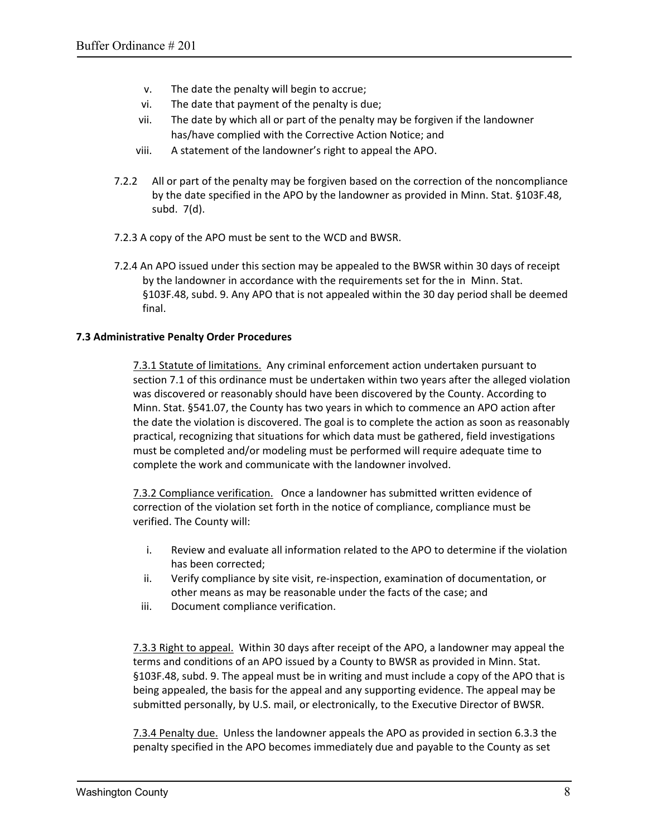- v. The date the penalty will begin to accrue;
- vi. The date that payment of the penalty is due;
- vii. The date by which all or part of the penalty may be forgiven if the landowner has/have complied with the Corrective Action Notice; and
- viii. A statement of the landowner's right to appeal the APO.
- 7.2.2 All or part of the penalty may be forgiven based on the correction of the noncompliance by the date specified in the APO by the landowner as provided in Minn. Stat. §103F.48, subd. 7(d).
- 7.2.3 A copy of the APO must be sent to the WCD and BWSR.
- 7.2.4 An APO issued under this section may be appealed to the BWSR within 30 days of receipt by the landowner in accordance with the requirements set for the in Minn. Stat. §103F.48, subd. 9. Any APO that is not appealed within the 30 day period shall be deemed final.

### **7.3 Administrative Penalty Order Procedures**

7.3.1 Statute of limitations. Any criminal enforcement action undertaken pursuant to section 7.1 of this ordinance must be undertaken within two years after the alleged violation was discovered or reasonably should have been discovered by the County. According to Minn. Stat. §541.07, the County has two years in which to commence an APO action after the date the violation is discovered. The goal is to complete the action as soon as reasonably practical, recognizing that situations for which data must be gathered, field investigations must be completed and/or modeling must be performed will require adequate time to complete the work and communicate with the landowner involved.

7.3.2 Compliance verification. Once a landowner has submitted written evidence of correction of the violation set forth in the notice of compliance, compliance must be verified. The County will:

- i. Review and evaluate all information related to the APO to determine if the violation has been corrected;
- ii. Verify compliance by site visit, re-inspection, examination of documentation, or other means as may be reasonable under the facts of the case; and
- iii. Document compliance verification.

7.3.3 Right to appeal. Within 30 days after receipt of the APO, a landowner may appeal the terms and conditions of an APO issued by a County to BWSR as provided in Minn. Stat. §103F.48, subd. 9. The appeal must be in writing and must include a copy of the APO that is being appealed, the basis for the appeal and any supporting evidence. The appeal may be submitted personally, by U.S. mail, or electronically, to the Executive Director of BWSR.

7.3.4 Penalty due. Unless the landowner appeals the APO as provided in section 6.3.3 the penalty specified in the APO becomes immediately due and payable to the County as set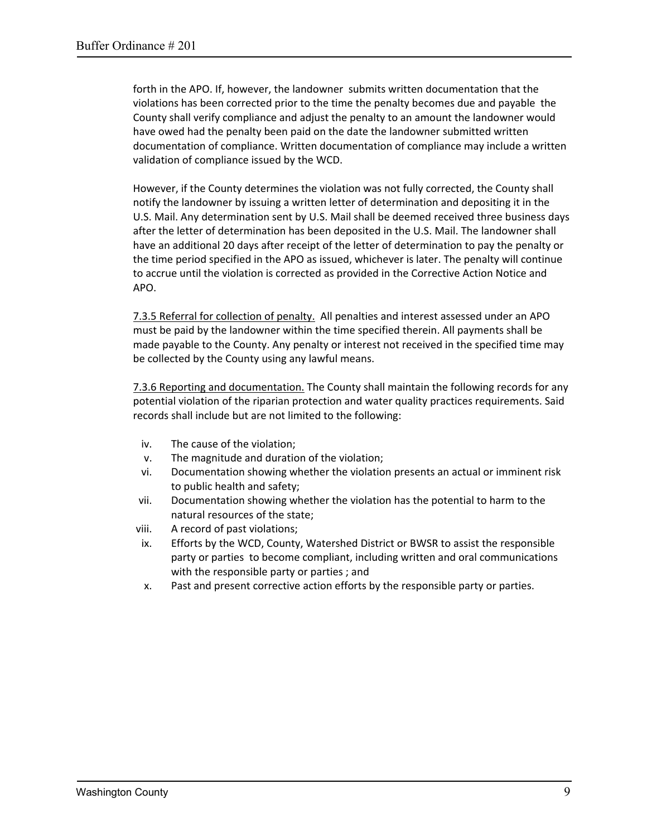forth in the APO. If, however, the landowner submits written documentation that the violations has been corrected prior to the time the penalty becomes due and payable the County shall verify compliance and adjust the penalty to an amount the landowner would have owed had the penalty been paid on the date the landowner submitted written documentation of compliance. Written documentation of compliance may include a written validation of compliance issued by the WCD.

However, if the County determines the violation was not fully corrected, the County shall notify the landowner by issuing a written letter of determination and depositing it in the U.S. Mail. Any determination sent by U.S. Mail shall be deemed received three business days after the letter of determination has been deposited in the U.S. Mail. The landowner shall have an additional 20 days after receipt of the letter of determination to pay the penalty or the time period specified in the APO as issued, whichever is later. The penalty will continue to accrue until the violation is corrected as provided in the Corrective Action Notice and APO.

7.3.5 Referral for collection of penalty. All penalties and interest assessed under an APO must be paid by the landowner within the time specified therein. All payments shall be made payable to the County. Any penalty or interest not received in the specified time may be collected by the County using any lawful means.

7.3.6 Reporting and documentation. The County shall maintain the following records for any potential violation of the riparian protection and water quality practices requirements. Said records shall include but are not limited to the following:

- iv. The cause of the violation;
- v. The magnitude and duration of the violation;
- vi. Documentation showing whether the violation presents an actual or imminent risk to public health and safety;
- vii. Documentation showing whether the violation has the potential to harm to the natural resources of the state;
- viii. A record of past violations;
- ix. Efforts by the WCD, County, Watershed District or BWSR to assist the responsible party or parties to become compliant, including written and oral communications with the responsible party or parties ; and
- x. Past and present corrective action efforts by the responsible party or parties.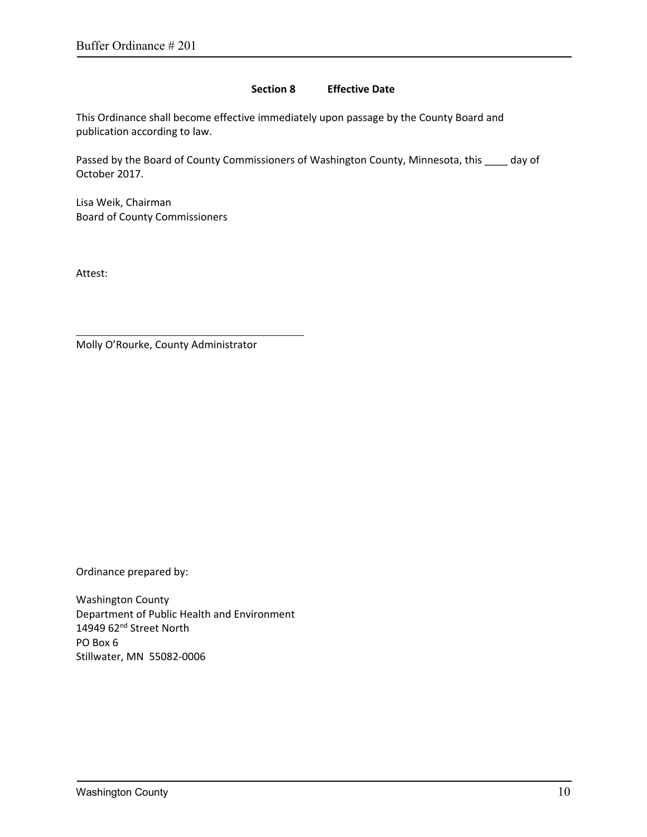#### **Section 8 Effective Date**

This Ordinance shall become effective immediately upon passage by the County Board and publication according to law.

Passed by the Board of County Commissioners of Washington County, Minnesota, this \_\_\_\_ day of October 2017.

Lisa Weik, Chairman Board of County Commissioners

Attest:

Molly O'Rourke, County Administrator

Ordinance prepared by:

Washington County Department of Public Health and Environment 14949 62<sup>nd</sup> Street North PO Box 6 Stillwater, MN 55082‐0006